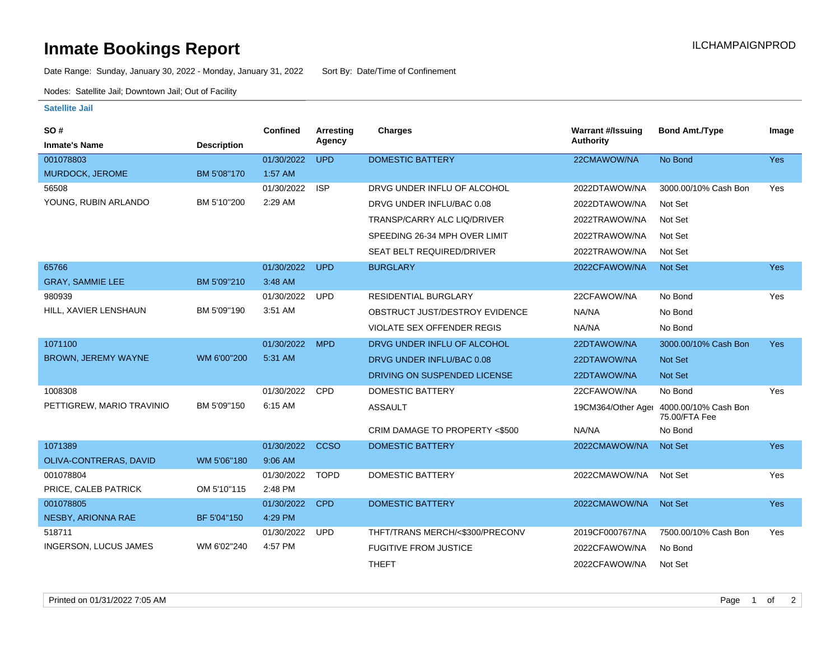## **Inmate Bookings Report International Contract Contract Contract Contract Contract Contract Contract Contract Contract Contract Contract Contract Contract Contract Contract Contract Contract Contract Contract Contract Co**

Date Range: Sunday, January 30, 2022 - Monday, January 31, 2022 Sort By: Date/Time of Confinement

Nodes: Satellite Jail; Downtown Jail; Out of Facility

## **Satellite Jail**

| SO#                          |                    | Confined   | <b>Arresting</b> | <b>Charges</b>                   | <b>Warrant #/Issuing</b> | <b>Bond Amt./Type</b>                                    | Image      |
|------------------------------|--------------------|------------|------------------|----------------------------------|--------------------------|----------------------------------------------------------|------------|
| <b>Inmate's Name</b>         | <b>Description</b> |            | Agency           |                                  | <b>Authority</b>         |                                                          |            |
| 001078803                    |                    | 01/30/2022 | <b>UPD</b>       | <b>DOMESTIC BATTERY</b>          | 22CMAWOW/NA              | No Bond                                                  | <b>Yes</b> |
| MURDOCK, JEROME              | BM 5'08"170        | 1:57 AM    |                  |                                  |                          |                                                          |            |
| 56508                        |                    | 01/30/2022 | <b>ISP</b>       | DRVG UNDER INFLU OF ALCOHOL      | 2022DTAWOW/NA            | 3000.00/10% Cash Bon                                     | Yes        |
| YOUNG, RUBIN ARLANDO         | BM 5'10"200        | 2:29 AM    |                  | DRVG UNDER INFLU/BAC 0.08        | 2022DTAWOW/NA            | Not Set                                                  |            |
|                              |                    |            |                  | TRANSP/CARRY ALC LIQ/DRIVER      | 2022TRAWOW/NA            | Not Set                                                  |            |
|                              |                    |            |                  | SPEEDING 26-34 MPH OVER LIMIT    | 2022TRAWOW/NA            | Not Set                                                  |            |
|                              |                    |            |                  | <b>SEAT BELT REQUIRED/DRIVER</b> | 2022TRAWOW/NA            | Not Set                                                  |            |
| 65766                        |                    | 01/30/2022 | <b>UPD</b>       | <b>BURGLARY</b>                  | 2022CFAWOW/NA            | <b>Not Set</b>                                           | <b>Yes</b> |
| <b>GRAY, SAMMIE LEE</b>      | BM 5'09"210        | 3:48 AM    |                  |                                  |                          |                                                          |            |
| 980939                       |                    | 01/30/2022 | <b>UPD</b>       | <b>RESIDENTIAL BURGLARY</b>      | 22CFAWOW/NA              | No Bond                                                  | Yes        |
| HILL, XAVIER LENSHAUN        | BM 5'09"190        | 3:51 AM    |                  | OBSTRUCT JUST/DESTROY EVIDENCE   | NA/NA                    | No Bond                                                  |            |
|                              |                    |            |                  | VIOLATE SEX OFFENDER REGIS       | NA/NA                    | No Bond                                                  |            |
| 1071100                      |                    | 01/30/2022 | <b>MPD</b>       | DRVG UNDER INFLU OF ALCOHOL      | 22DTAWOW/NA              | 3000.00/10% Cash Bon                                     | <b>Yes</b> |
| <b>BROWN, JEREMY WAYNE</b>   | WM 6'00"200        | 5:31 AM    |                  | DRVG UNDER INFLU/BAC 0.08        | 22DTAWOW/NA              | <b>Not Set</b>                                           |            |
|                              |                    |            |                  | DRIVING ON SUSPENDED LICENSE     | 22DTAWOW/NA              | <b>Not Set</b>                                           |            |
| 1008308                      |                    | 01/30/2022 | <b>CPD</b>       | <b>DOMESTIC BATTERY</b>          | 22CFAWOW/NA              | No Bond                                                  | Yes        |
| PETTIGREW, MARIO TRAVINIO    | BM 5'09"150        | 6:15 AM    |                  | <b>ASSAULT</b>                   |                          | 19CM364/Other Ager 4000.00/10% Cash Bon<br>75.00/FTA Fee |            |
|                              |                    |            |                  | CRIM DAMAGE TO PROPERTY <\$500   | NA/NA                    | No Bond                                                  |            |
| 1071389                      |                    | 01/30/2022 | <b>CCSO</b>      | <b>DOMESTIC BATTERY</b>          | 2022CMAWOW/NA            | <b>Not Set</b>                                           | <b>Yes</b> |
| OLIVA-CONTRERAS, DAVID       | WM 5'06"180        | 9:06 AM    |                  |                                  |                          |                                                          |            |
| 001078804                    |                    | 01/30/2022 | <b>TOPD</b>      | <b>DOMESTIC BATTERY</b>          | 2022CMAWOW/NA            | Not Set                                                  | Yes        |
| PRICE, CALEB PATRICK         | OM 5'10"115        | 2:48 PM    |                  |                                  |                          |                                                          |            |
| 001078805                    |                    | 01/30/2022 | <b>CPD</b>       | <b>DOMESTIC BATTERY</b>          | 2022CMAWOW/NA            | <b>Not Set</b>                                           | Yes        |
| <b>NESBY, ARIONNA RAE</b>    | BF 5'04"150        | 4:29 PM    |                  |                                  |                          |                                                          |            |
| 518711                       |                    | 01/30/2022 | <b>UPD</b>       | THFT/TRANS MERCH/<\$300/PRECONV  | 2019CF000767/NA          | 7500.00/10% Cash Bon                                     | Yes        |
| <b>INGERSON, LUCUS JAMES</b> | WM 6'02"240        | 4:57 PM    |                  | <b>FUGITIVE FROM JUSTICE</b>     | 2022CFAWOW/NA            | No Bond                                                  |            |
|                              |                    |            |                  | <b>THEFT</b>                     | 2022CFAWOW/NA            | Not Set                                                  |            |
|                              |                    |            |                  |                                  |                          |                                                          |            |